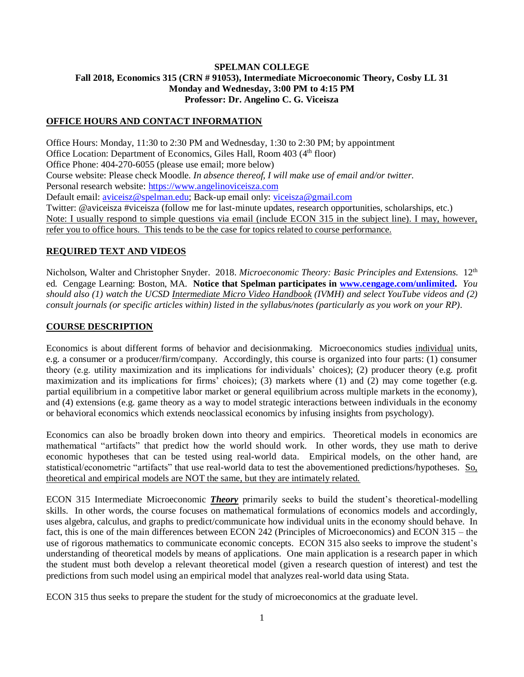### **SPELMAN COLLEGE Fall 2018, Economics 315 (CRN # 91053), Intermediate Microeconomic Theory, Cosby LL 31 Monday and Wednesday, 3:00 PM to 4:15 PM Professor: Dr. Angelino C. G. Viceisza**

#### **OFFICE HOURS AND CONTACT INFORMATION**

Office Hours: Monday, 11:30 to 2:30 PM and Wednesday, 1:30 to 2:30 PM; by appointment Office Location: Department of Economics, Giles Hall, Room 403 (4<sup>th</sup> floor) Office Phone: 404-270-6055 (please use email; more below) Course website: Please check Moodle. *In absence thereof, I will make use of email and/or twitter.*  Personal research website: https://www.angelinoviceisza.com Default email: [aviceisz@spelman.edu;](mailto:aviceisz@spelman.edu) Back-up email only: [viceisza@gmail.com](mailto:viceisza@gmail.com) Twitter: @aviceisza #viceisza (follow me for last-minute updates, research opportunities, scholarships, etc.) Note: I usually respond to simple questions via email (include ECON 315 in the subject line). I may, however, refer you to office hours. This tends to be the case for topics related to course performance.

#### **REQUIRED TEXT AND VIDEOS**

Nicholson, Walter and Christopher Snyder. 2018. *Microeconomic Theory: Basic Principles and Extensions.* 12th ed. Cengage Learning: Boston, MA. **Notice that Spelman participates in [www.cengage.com/unlimited.](http://www.cengage.com/unlimited)** *You should also (1) watch the UCSD Intermediate Micro Video Handbook (IVMH) and select YouTube videos and (2) consult journals (or specific articles within) listed in the syllabus/notes (particularly as you work on your RP).*

#### **COURSE DESCRIPTION**

Economics is about different forms of behavior and decisionmaking. Microeconomics studies individual units, e.g. a consumer or a producer/firm/company. Accordingly, this course is organized into four parts: (1) consumer theory (e.g. utility maximization and its implications for individuals' choices); (2) producer theory (e.g. profit maximization and its implications for firms' choices); (3) markets where (1) and (2) may come together (e.g. partial equilibrium in a competitive labor market or general equilibrium across multiple markets in the economy), and (4) extensions (e.g. game theory as a way to model strategic interactions between individuals in the economy or behavioral economics which extends neoclassical economics by infusing insights from psychology).

Economics can also be broadly broken down into theory and empirics. Theoretical models in economics are mathematical "artifacts" that predict how the world should work. In other words, they use math to derive economic hypotheses that can be tested using real-world data. Empirical models, on the other hand, are statistical/econometric "artifacts" that use real-world data to test the abovementioned predictions/hypotheses. So, theoretical and empirical models are NOT the same, but they are intimately related.

ECON 315 Intermediate Microeconomic *Theory* primarily seeks to build the student's theoretical-modelling skills. In other words, the course focuses on mathematical formulations of economics models and accordingly, uses algebra, calculus, and graphs to predict/communicate how individual units in the economy should behave. In fact, this is one of the main differences between ECON 242 (Principles of Microeconomics) and ECON 315 – the use of rigorous mathematics to communicate economic concepts. ECON 315 also seeks to improve the student's understanding of theoretical models by means of applications. One main application is a research paper in which the student must both develop a relevant theoretical model (given a research question of interest) and test the predictions from such model using an empirical model that analyzes real-world data using Stata.

ECON 315 thus seeks to prepare the student for the study of microeconomics at the graduate level.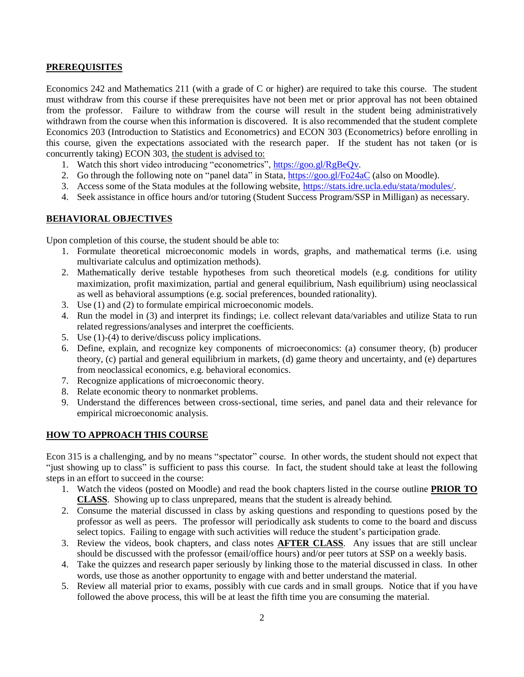#### **PREREQUISITES**

Economics 242 and Mathematics 211 (with a grade of C or higher) are required to take this course. The student must withdraw from this course if these prerequisites have not been met or prior approval has not been obtained from the professor. Failure to withdraw from the course will result in the student being administratively withdrawn from the course when this information is discovered. It is also recommended that the student complete Economics 203 (Introduction to Statistics and Econometrics) and ECON 303 (Econometrics) before enrolling in this course, given the expectations associated with the research paper. If the student has not taken (or is concurrently taking) ECON 303, the student is advised to:

- 1. Watch this short video introducing "econometrics", [https://goo.gl/RgBeQv.](https://goo.gl/RgBeQv)
- 2. Go through the following note on "panel data" in Stata,<https://goo.gl/Fo24aC> (also on Moodle).
- 3. Access some of the Stata modules at the following website, [https://stats.idre.ucla.edu/stata/modules/.](https://stats.idre.ucla.edu/stata/modules/)
- 4. Seek assistance in office hours and/or tutoring (Student Success Program/SSP in Milligan) as necessary.

### **BEHAVIORAL OBJECTIVES**

Upon completion of this course, the student should be able to:

- 1. Formulate theoretical microeconomic models in words, graphs, and mathematical terms (i.e. using multivariate calculus and optimization methods).
- 2. Mathematically derive testable hypotheses from such theoretical models (e.g. conditions for utility maximization, profit maximization, partial and general equilibrium, Nash equilibrium) using neoclassical as well as behavioral assumptions (e.g. social preferences, bounded rationality).
- 3. Use (1) and (2) to formulate empirical microeconomic models.
- 4. Run the model in (3) and interpret its findings; i.e. collect relevant data/variables and utilize Stata to run related regressions/analyses and interpret the coefficients.
- 5. Use (1)-(4) to derive/discuss policy implications.
- 6. Define, explain, and recognize key components of microeconomics: (a) consumer theory, (b) producer theory, (c) partial and general equilibrium in markets, (d) game theory and uncertainty, and (e) departures from neoclassical economics, e.g. behavioral economics.
- 7. Recognize applications of microeconomic theory.
- 8. Relate economic theory to nonmarket problems.
- 9. Understand the differences between cross-sectional, time series, and panel data and their relevance for empirical microeconomic analysis.

### **HOW TO APPROACH THIS COURSE**

Econ 315 is a challenging, and by no means "spectator" course. In other words, the student should not expect that "just showing up to class" is sufficient to pass this course. In fact, the student should take at least the following steps in an effort to succeed in the course:

- 1. Watch the videos (posted on Moodle) and read the book chapters listed in the course outline **PRIOR TO CLASS**. Showing up to class unprepared, means that the student is already behind.
- 2. Consume the material discussed in class by asking questions and responding to questions posed by the professor as well as peers. The professor will periodically ask students to come to the board and discuss select topics. Failing to engage with such activities will reduce the student's participation grade.
- 3. Review the videos, book chapters, and class notes **AFTER CLASS**. Any issues that are still unclear should be discussed with the professor (email/office hours) and/or peer tutors at SSP on a weekly basis.
- 4. Take the quizzes and research paper seriously by linking those to the material discussed in class. In other words, use those as another opportunity to engage with and better understand the material.
- 5. Review all material prior to exams, possibly with cue cards and in small groups. Notice that if you have followed the above process, this will be at least the fifth time you are consuming the material.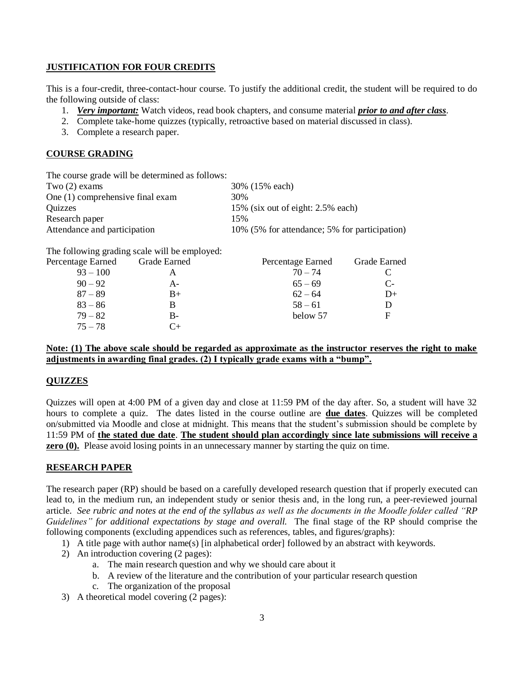#### **JUSTIFICATION FOR FOUR CREDITS**

This is a four-credit, three-contact-hour course. To justify the additional credit, the student will be required to do the following outside of class:

- 1. *Very important:* Watch videos, read book chapters, and consume material *prior to and after class*.
- 2. Complete take-home quizzes (typically, retroactive based on material discussed in class).
- 3. Complete a research paper.

### **COURSE GRADING**

| 30% (15% each)                                |
|-----------------------------------------------|
|                                               |
| 15% (six out of eight: 2.5% each)             |
|                                               |
| 10% (5% for attendance; 5% for participation) |
|                                               |

The following grading scale will be employed:

| Percentage Earned | Grade Earned | Percentage Earned | Grade Earned |
|-------------------|--------------|-------------------|--------------|
| $93 - 100$        |              | $70 - 74$         |              |
| $90 - 92$         | А-           | $65 - 69$         | $C-$         |
| $87 - 89$         | $B+$         | $62 - 64$         | $D+$         |
| $83 - 86$         | В            | $58 - 61$         |              |
| $79 - 82$         | B-           | below 57          | F            |
| $75 - 78$         | Γ+           |                   |              |

### **Note: (1) The above scale should be regarded as approximate as the instructor reserves the right to make adjustments in awarding final grades. (2) I typically grade exams with a "bump".**

# **QUIZZES**

Quizzes will open at 4:00 PM of a given day and close at 11:59 PM of the day after. So, a student will have 32 hours to complete a quiz. The dates listed in the course outline are **due dates**. Quizzes will be completed on/submitted via Moodle and close at midnight. This means that the student's submission should be complete by 11:59 PM of **the stated due date**. **The student should plan accordingly since late submissions will receive a zero (0).** Please avoid losing points in an unnecessary manner by starting the quiz on time.

### **RESEARCH PAPER**

The research paper (RP) should be based on a carefully developed research question that if properly executed can lead to, in the medium run, an independent study or senior thesis and, in the long run, a peer-reviewed journal article. *See rubric and notes at the end of the syllabus as well as the documents in the Moodle folder called "RP Guidelines" for additional expectations by stage and overall.* The final stage of the RP should comprise the following components (excluding appendices such as references, tables, and figures/graphs):

- 1) A title page with author name(s) [in alphabetical order] followed by an abstract with keywords.
- 2) An introduction covering (2 pages):
	- a. The main research question and why we should care about it
	- b. A review of the literature and the contribution of your particular research question
	- c. The organization of the proposal
- 3) A theoretical model covering (2 pages):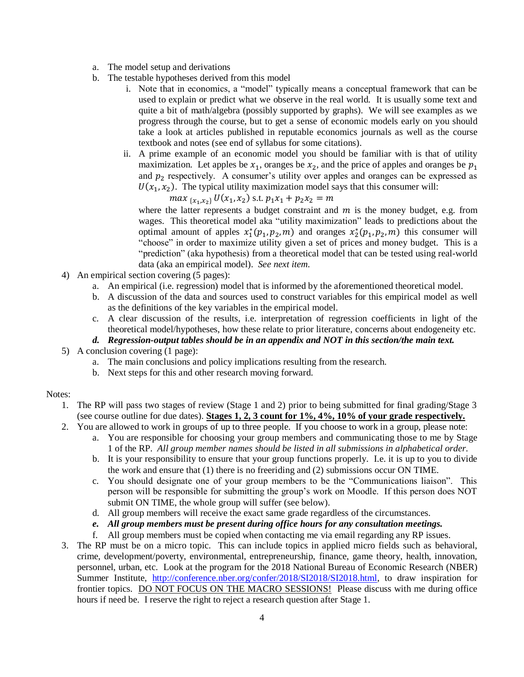- a. The model setup and derivations
- b. The testable hypotheses derived from this model
	- i. Note that in economics, a "model" typically means a conceptual framework that can be used to explain or predict what we observe in the real world. It is usually some text and quite a bit of math/algebra (possibly supported by graphs). We will see examples as we progress through the course, but to get a sense of economic models early on you should take a look at articles published in reputable economics journals as well as the course textbook and notes (see end of syllabus for some citations).
	- ii. A prime example of an economic model you should be familiar with is that of utility maximization. Let apples be  $x_1$ , oranges be  $x_2$ , and the price of apples and oranges be  $p_1$ and  $p_2$  respectively. A consumer's utility over apples and oranges can be expressed as  $U(x_1, x_2)$ . The typical utility maximization model says that this consumer will:

 $max_{\{x_1, x_2\}} U(x_1, x_2)$  s.t.  $p_1x_1 + p_2x_2 = m$ 

where the latter represents a budget constraint and  $m$  is the money budget, e.g. from wages. This theoretical model aka "utility maximization" leads to predictions about the optimal amount of apples  $x_1^*(p_1, p_2, m)$  and oranges  $x_2^*(p_1, p_2, m)$  this consumer will "choose" in order to maximize utility given a set of prices and money budget. This is a "prediction" (aka hypothesis) from a theoretical model that can be tested using real-world data (aka an empirical model). *See next item.*

- 4) An empirical section covering (5 pages):
	- a. An empirical (i.e. regression) model that is informed by the aforementioned theoretical model.
	- b. A discussion of the data and sources used to construct variables for this empirical model as well as the definitions of the key variables in the empirical model.
	- c. A clear discussion of the results, i.e. interpretation of regression coefficients in light of the theoretical model/hypotheses, how these relate to prior literature, concerns about endogeneity etc.

### *d. Regression-output tables should be in an appendix and NOT in this section/the main text.*

- 5) A conclusion covering (1 page):
	- a. The main conclusions and policy implications resulting from the research.
	- b. Next steps for this and other research moving forward.

#### Notes:

- 1. The RP will pass two stages of review (Stage 1 and 2) prior to being submitted for final grading/Stage 3 (see course outline for due dates). **Stages 1, 2, 3 count for 1%, 4%, 10% of your grade respectively.**
- 2. You are allowed to work in groups of up to three people. If you choose to work in a group, please note:
	- a. You are responsible for choosing your group members and communicating those to me by Stage 1 of the RP. *All group member names should be listed in all submissions in alphabetical order.*
	- b. It is your responsibility to ensure that your group functions properly. I.e. it is up to you to divide the work and ensure that (1) there is no freeriding and (2) submissions occur ON TIME.
	- c. You should designate one of your group members to be the "Communications liaison". This person will be responsible for submitting the group's work on Moodle. If this person does NOT submit ON TIME, the whole group will suffer (see below).
	- d. All group members will receive the exact same grade regardless of the circumstances.
	- *e. All group members must be present during office hours for any consultation meetings.*
	- f. All group members must be copied when contacting me via email regarding any RP issues.
- 3. The RP must be on a micro topic. This can include topics in applied micro fields such as behavioral, crime, development/poverty, environmental, entrepreneurship, finance, game theory, health, innovation, personnel, urban, etc. Look at the program for the 2018 National Bureau of Economic Research (NBER) Summer Institute, [http://conference.nber.org/confer/2018/SI2018/SI2018.html,](http://conference.nber.org/confer/2018/SI2018/SI2018.html) to draw inspiration for frontier topics. DO NOT FOCUS ON THE MACRO SESSIONS! Please discuss with me during office hours if need be. I reserve the right to reject a research question after Stage 1.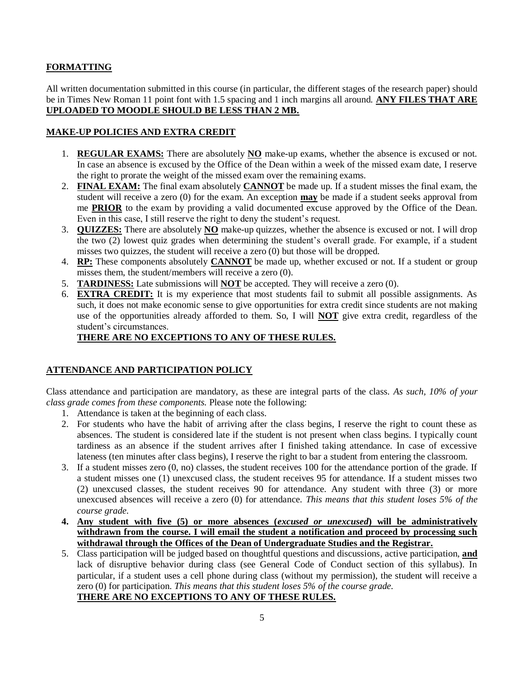# **FORMATTING**

All written documentation submitted in this course (in particular, the different stages of the research paper) should be in Times New Roman 11 point font with 1.5 spacing and 1 inch margins all around. **ANY FILES THAT ARE UPLOADED TO MOODLE SHOULD BE LESS THAN 2 MB.** 

### **MAKE-UP POLICIES AND EXTRA CREDIT**

- 1. **REGULAR EXAMS:** There are absolutely **NO** make-up exams, whether the absence is excused or not. In case an absence is excused by the Office of the Dean within a week of the missed exam date, I reserve the right to prorate the weight of the missed exam over the remaining exams.
- 2. **FINAL EXAM:** The final exam absolutely **CANNOT** be made up. If a student misses the final exam, the student will receive a zero (0) for the exam. An exception **may** be made if a student seeks approval from me **PRIOR** to the exam by providing a valid documented excuse approved by the Office of the Dean. Even in this case, I still reserve the right to deny the student's request.
- 3. **QUIZZES:** There are absolutely **NO** make-up quizzes, whether the absence is excused or not. I will drop the two (2) lowest quiz grades when determining the student's overall grade. For example, if a student misses two quizzes, the student will receive a zero (0) but those will be dropped.
- 4. **RP:** These components absolutely **CANNOT** be made up, whether excused or not. If a student or group misses them, the student/members will receive a zero (0).
- 5. **TARDINESS:** Late submissions will **NOT** be accepted. They will receive a zero (0).
- 6. **EXTRA CREDIT:** It is my experience that most students fail to submit all possible assignments. As such, it does not make economic sense to give opportunities for extra credit since students are not making use of the opportunities already afforded to them. So, I will **NOT** give extra credit, regardless of the student's circumstances.

# **THERE ARE NO EXCEPTIONS TO ANY OF THESE RULES.**

# **ATTENDANCE AND PARTICIPATION POLICY**

Class attendance and participation are mandatory, as these are integral parts of the class. *As such, 10% of your class grade comes from these components.* Please note the following:

- 1. Attendance is taken at the beginning of each class.
- 2. For students who have the habit of arriving after the class begins, I reserve the right to count these as absences. The student is considered late if the student is not present when class begins. I typically count tardiness as an absence if the student arrives after I finished taking attendance. In case of excessive lateness (ten minutes after class begins), I reserve the right to bar a student from entering the classroom.
- 3. If a student misses zero (0, no) classes, the student receives 100 for the attendance portion of the grade. If a student misses one (1) unexcused class, the student receives 95 for attendance. If a student misses two (2) unexcused classes, the student receives 90 for attendance. Any student with three (3) or more unexcused absences will receive a zero (0) for attendance. *This means that this student loses 5% of the course grade.*
- **4. Any student with five (5) or more absences (***excused or unexcused***) will be administratively withdrawn from the course. I will email the student a notification and proceed by processing such withdrawal through the Offices of the Dean of Undergraduate Studies and the Registrar.**
- 5. Class participation will be judged based on thoughtful questions and discussions, active participation, **and** lack of disruptive behavior during class (see General Code of Conduct section of this syllabus). In particular, if a student uses a cell phone during class (without my permission), the student will receive a zero (0) for participation. *This means that this student loses 5% of the course grade.* **THERE ARE NO EXCEPTIONS TO ANY OF THESE RULES.**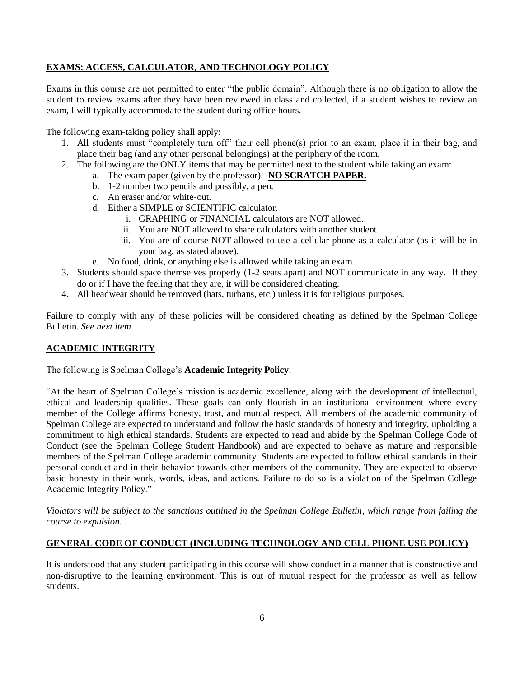# **EXAMS: ACCESS, CALCULATOR, AND TECHNOLOGY POLICY**

Exams in this course are not permitted to enter "the public domain". Although there is no obligation to allow the student to review exams after they have been reviewed in class and collected, if a student wishes to review an exam, I will typically accommodate the student during office hours.

The following exam-taking policy shall apply:

- 1. All students must "completely turn off" their cell phone(s) prior to an exam, place it in their bag, and place their bag (and any other personal belongings) at the periphery of the room.
- 2. The following are the ONLY items that may be permitted next to the student while taking an exam:
	- a. The exam paper (given by the professor). **NO SCRATCH PAPER.**
	- b. 1-2 number two pencils and possibly, a pen.
	- c. An eraser and/or white-out.
	- d. Either a SIMPLE or SCIENTIFIC calculator.
		- i. GRAPHING or FINANCIAL calculators are NOT allowed.
		- ii. You are NOT allowed to share calculators with another student.
		- iii. You are of course NOT allowed to use a cellular phone as a calculator (as it will be in your bag, as stated above).
	- e. No food, drink, or anything else is allowed while taking an exam.
- 3. Students should space themselves properly (1-2 seats apart) and NOT communicate in any way. If they do or if I have the feeling that they are, it will be considered cheating.
- 4. All headwear should be removed (hats, turbans, etc.) unless it is for religious purposes.

Failure to comply with any of these policies will be considered cheating as defined by the Spelman College Bulletin. *See next item.*

# **ACADEMIC INTEGRITY**

The following is Spelman College's **Academic Integrity Policy**:

"At the heart of Spelman College's mission is academic excellence, along with the development of intellectual, ethical and leadership qualities. These goals can only flourish in an institutional environment where every member of the College affirms honesty, trust, and mutual respect. All members of the academic community of Spelman College are expected to understand and follow the basic standards of honesty and integrity, upholding a commitment to high ethical standards. Students are expected to read and abide by the Spelman College Code of Conduct (see the Spelman College Student Handbook) and are expected to behave as mature and responsible members of the Spelman College academic community. Students are expected to follow ethical standards in their personal conduct and in their behavior towards other members of the community. They are expected to observe basic honesty in their work, words, ideas, and actions. Failure to do so is a violation of the Spelman College Academic Integrity Policy."

*Violators will be subject to the sanctions outlined in the Spelman College Bulletin, which range from failing the course to expulsion.*

# **GENERAL CODE OF CONDUCT (INCLUDING TECHNOLOGY AND CELL PHONE USE POLICY)**

It is understood that any student participating in this course will show conduct in a manner that is constructive and non-disruptive to the learning environment. This is out of mutual respect for the professor as well as fellow students.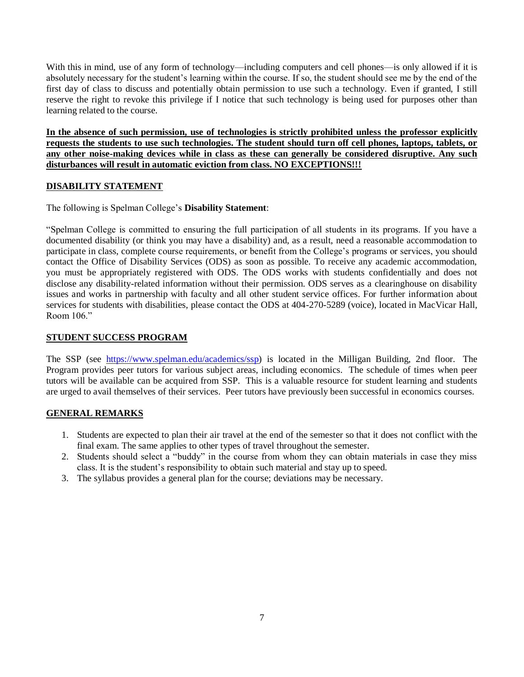With this in mind, use of any form of technology—including computers and cell phones—is only allowed if it is absolutely necessary for the student's learning within the course. If so, the student should see me by the end of the first day of class to discuss and potentially obtain permission to use such a technology. Even if granted, I still reserve the right to revoke this privilege if I notice that such technology is being used for purposes other than learning related to the course.

**In the absence of such permission, use of technologies is strictly prohibited unless the professor explicitly requests the students to use such technologies. The student should turn off cell phones, laptops, tablets, or any other noise-making devices while in class as these can generally be considered disruptive. Any such disturbances will result in automatic eviction from class. NO EXCEPTIONS!!!**

### **DISABILITY STATEMENT**

The following is Spelman College's **Disability Statement**:

"Spelman College is committed to ensuring the full participation of all students in its programs. If you have a documented disability (or think you may have a disability) and, as a result, need a reasonable accommodation to participate in class, complete course requirements, or benefit from the College's programs or services, you should contact the Office of Disability Services (ODS) as soon as possible. To receive any academic accommodation, you must be appropriately registered with ODS. The ODS works with students confidentially and does not disclose any disability-related information without their permission. ODS serves as a clearinghouse on disability issues and works in partnership with faculty and all other student service offices. For further information about services for students with disabilities, please contact the ODS at 404-270-5289 (voice), located in MacVicar Hall, Room 106."

### **STUDENT SUCCESS PROGRAM**

The SSP (see [https://www.spelman.edu/academics/ssp\)](https://www.spelman.edu/academics/ssp) is located in the Milligan Building, 2nd floor. The Program provides peer tutors for various subject areas, including economics. The schedule of times when peer tutors will be available can be acquired from SSP. This is a valuable resource for student learning and students are urged to avail themselves of their services. Peer tutors have previously been successful in economics courses.

# **GENERAL REMARKS**

- 1. Students are expected to plan their air travel at the end of the semester so that it does not conflict with the final exam. The same applies to other types of travel throughout the semester.
- 2. Students should select a "buddy" in the course from whom they can obtain materials in case they miss class. It is the student's responsibility to obtain such material and stay up to speed.
- 3. The syllabus provides a general plan for the course; deviations may be necessary.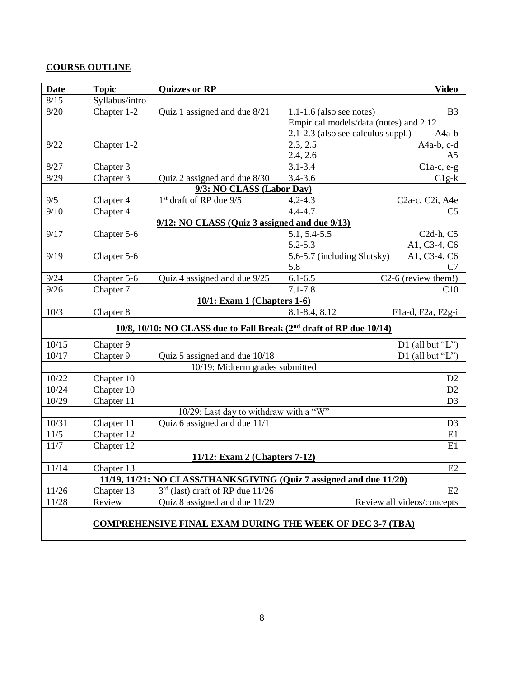# **COURSE OUTLINE**

| <b>Date</b>                                                         | <b>Topic</b>   | <b>Quizzes or RP</b>                                                            | <b>Video</b>                                                          |  |  |  |
|---------------------------------------------------------------------|----------------|---------------------------------------------------------------------------------|-----------------------------------------------------------------------|--|--|--|
| 8/15                                                                | Syllabus/intro |                                                                                 |                                                                       |  |  |  |
| 8/20                                                                | Chapter 1-2    | Quiz 1 assigned and due 8/21                                                    | $1.1\n-1.6$ (also see notes)<br>B <sub>3</sub>                        |  |  |  |
|                                                                     |                |                                                                                 | Empirical models/data (notes) and 2.12                                |  |  |  |
|                                                                     |                |                                                                                 | 2.1-2.3 (also see calculus suppl.)<br>A <sub>4</sub> a-b              |  |  |  |
| 8/22                                                                | Chapter 1-2    |                                                                                 | 2.3, 2.5<br>A4a-b, c-d                                                |  |  |  |
|                                                                     |                |                                                                                 | 2.4, 2.6<br>A <sub>5</sub>                                            |  |  |  |
| 8/27                                                                | Chapter 3      |                                                                                 | $3.1 - 3.4$<br>$C1a-c, e-g$                                           |  |  |  |
| 8/29                                                                | Chapter 3      | Quiz 2 assigned and due 8/30                                                    | $3.4 - 3.6$<br>$C1g-k$                                                |  |  |  |
| 9/3: NO CLASS (Labor Day)                                           |                |                                                                                 |                                                                       |  |  |  |
| 9/5                                                                 | Chapter 4      | 1 <sup>st</sup> draft of RP due 9/5                                             | $4.2 - 4.3$<br>C <sub>2</sub> a-c, C <sub>2i</sub> , A <sub>4</sub> e |  |  |  |
| 9/10                                                                | Chapter 4      |                                                                                 | $4.4 - 4.7$<br>C <sub>5</sub>                                         |  |  |  |
|                                                                     |                | $9/12$ : NO CLASS (Quiz 3 assigned and due $9/13$ )                             |                                                                       |  |  |  |
| 9/17                                                                | Chapter 5-6    |                                                                                 | 5.1, 5.4-5.5<br>C <sub>2</sub> d-h, C <sub>5</sub>                    |  |  |  |
|                                                                     |                |                                                                                 | $5.2 - 5.3$<br>A1, C3-4, C6                                           |  |  |  |
| 9/19                                                                | Chapter 5-6    |                                                                                 | 5.6-5.7 (including Slutsky)<br>A1, C3-4, C6                           |  |  |  |
|                                                                     |                |                                                                                 | 5.8<br>C7                                                             |  |  |  |
| 9/24                                                                | Chapter 5-6    | Quiz 4 assigned and due 9/25                                                    | $6.1 - 6.5$<br>C2-6 (review them!)                                    |  |  |  |
| 9/26                                                                | Chapter 7      |                                                                                 | $7.1 - 7.8$<br>C10                                                    |  |  |  |
|                                                                     |                | 10/1: Exam 1 (Chapters 1-6)                                                     |                                                                       |  |  |  |
| 10/3                                                                | Chapter 8      |                                                                                 | 8.1-8.4, 8.12<br>F1a-d, F2a, F2g-i                                    |  |  |  |
|                                                                     |                | 10/8, 10/10: NO CLASS due to Fall Break (2 <sup>nd</sup> draft of RP due 10/14) |                                                                       |  |  |  |
| 10/15                                                               | Chapter 9      |                                                                                 | D1 (all but " $L$ ")                                                  |  |  |  |
| 10/17                                                               | Chapter 9      | Quiz 5 assigned and due 10/18                                                   | D1 (all but " $L$ ")                                                  |  |  |  |
|                                                                     |                | 10/19: Midterm grades submitted                                                 |                                                                       |  |  |  |
| 10/22                                                               | Chapter 10     |                                                                                 | D2                                                                    |  |  |  |
| 10/24                                                               | Chapter 10     |                                                                                 | D2                                                                    |  |  |  |
| 10/29                                                               | Chapter 11     |                                                                                 | D <sub>3</sub>                                                        |  |  |  |
|                                                                     |                | 10/29: Last day to withdraw with a "W"                                          |                                                                       |  |  |  |
| 10/31                                                               | Chapter 11     | Quiz 6 assigned and due 11/1                                                    | D <sub>3</sub>                                                        |  |  |  |
| 11/5                                                                | Chapter 12     |                                                                                 | E1                                                                    |  |  |  |
| 11/7                                                                | Chapter 12     |                                                                                 | E1                                                                    |  |  |  |
|                                                                     |                | 11/12: Exam 2 (Chapters 7-12)                                                   |                                                                       |  |  |  |
| 11/14                                                               | Chapter 13     |                                                                                 | E2                                                                    |  |  |  |
| 11/19, 11/21: NO CLASS/THANKSGIVING (Quiz 7 assigned and due 11/20) |                |                                                                                 |                                                                       |  |  |  |
| 11/26                                                               | Chapter 13     | $3rd$ (last) draft of RP due 11/26                                              | E2                                                                    |  |  |  |
| 11/28                                                               | Review         | Quiz 8 assigned and due 11/29                                                   | Review all videos/concepts                                            |  |  |  |
| <b>COMPREHENSIVE FINAL EXAM DURING THE WEEK OF DEC 3-7 (TBA)</b>    |                |                                                                                 |                                                                       |  |  |  |